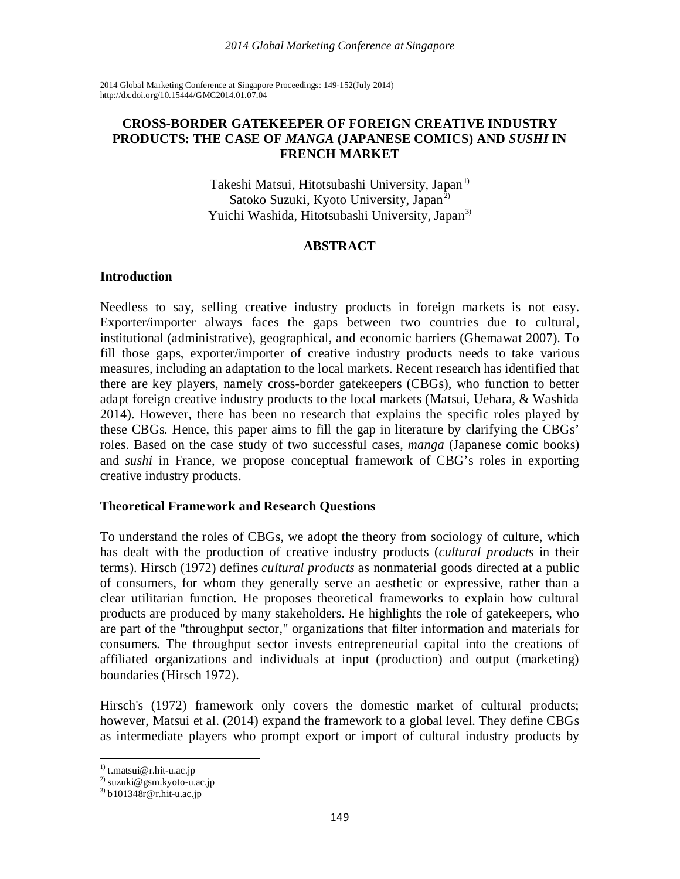2014 Global Marketing Conference at Singapore Proceedings: 149-152(July 2014) [http://dx.doi.org/1](http://dx.doi.org/)0.15444/GMC2014.01.07.04

## **CROSS-BORDER GATEKEEPER OF FOREIGN CREATIVE INDUSTRY PRODUCTS: THE CASE OF** *MANGA* **(JAPANESE COMICS) AND** *SUSHI* **IN FRENCH MARKET**

Takeshi Matsui, Hitotsubashi University, Japan<sup>[1\)](#page-0-0)</sup> Satoko Suzuki, Kyoto University, Japan<sup>[2\)](#page-0-1)</sup> Yuichi Washida, Hitotsubashi University, Japan<sup>[3\)](#page-0-2)</sup>

## **ABSTRACT**

## **Introduction**

Needless to say, selling creative industry products in foreign markets is not easy. Exporter/importer always faces the gaps between two countries due to cultural, institutional (administrative), geographical, and economic barriers (Ghemawat 2007). To fill those gaps, exporter/importer of creative industry products needs to take various measures, including an adaptation to the local markets. Recent research has identified that there are key players, namely cross-border gatekeepers (CBGs), who function to better adapt foreign creative industry products to the local markets (Matsui, Uehara, & Washida 2014). However, there has been no research that explains the specific roles played by these CBGs. Hence, this paper aims to fill the gap in literature by clarifying the CBGs' roles. Based on the case study of two successful cases, *manga* (Japanese comic books) and *sushi* in France, we propose conceptual framework of CBG's roles in exporting creative industry products.

#### **Theoretical Framework and Research Questions**

To understand the roles of CBGs, we adopt the theory from sociology of culture, which has dealt with the production of creative industry products (*cultural products* in their terms). Hirsch (1972) defines *cultural products* as nonmaterial goods directed at a public of consumers, for whom they generally serve an aesthetic or expressive, rather than a clear utilitarian function. He proposes theoretical frameworks to explain how cultural products are produced by many stakeholders. He highlights the role of gatekeepers, who are part of the "throughput sector," organizations that filter information and materials for consumers. The throughput sector invests entrepreneurial capital into the creations of affiliated organizations and individuals at input (production) and output (marketing) boundaries (Hirsch 1972).

Hirsch's (1972) framework only covers the domestic market of cultural products; however, Matsui et al. (2014) expand the framework to a global level. They define CBGs as intermediate players who prompt export or import of cultural industry products by

**.** 

<span id="page-0-0"></span><sup>&</sup>lt;sup>1)</sup> [t.matsui@r.hit-u.ac.jp](mailto:t.matsui@r.hit-u.ac.jp)

<span id="page-0-1"></span><sup>&</sup>lt;sup>2)</sup> [suzuki@gsm.kyoto-u.ac.jp](mailto:suzuki@gsm.kyoto-u.ac.jp)

<span id="page-0-2"></span><sup>3)</sup> [b101348r@r.hit-u.ac.jp](mailto:b101348r@r.hit-u.ac.jp)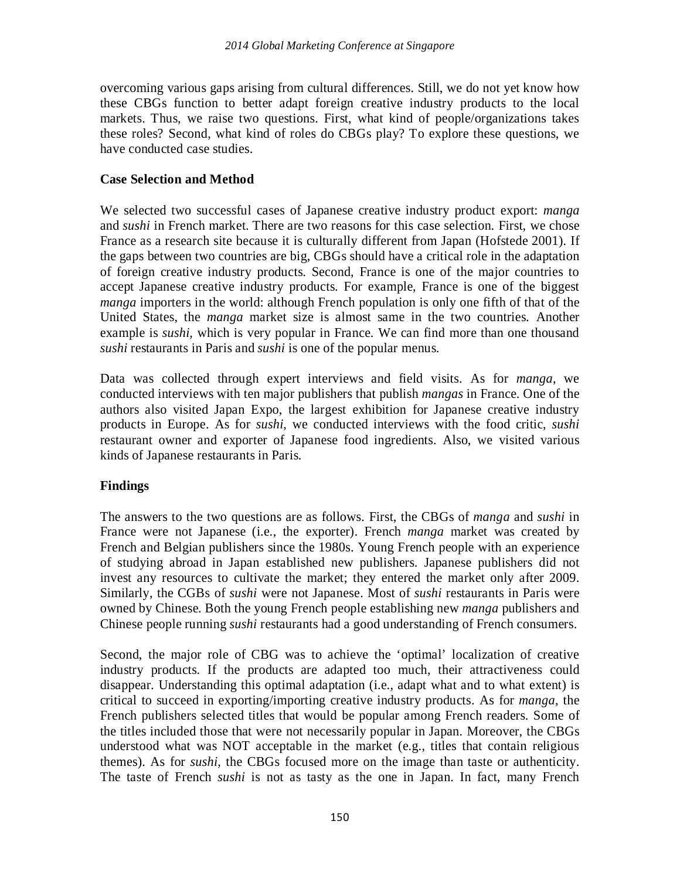overcoming various gaps arising from cultural differences. Still, we do not yet know how these CBGs function to better adapt foreign creative industry products to the local markets. Thus, we raise two questions. First, what kind of people/organizations takes these roles? Second, what kind of roles do CBGs play? To explore these questions, we have conducted case studies.

## **Case Selection and Method**

We selected two successful cases of Japanese creative industry product export: *manga* and *sushi* in French market. There are two reasons for this case selection. First, we chose France as a research site because it is culturally different from Japan (Hofstede 2001). If the gaps between two countries are big, CBGs should have a critical role in the adaptation of foreign creative industry products. Second, France is one of the major countries to accept Japanese creative industry products. For example, France is one of the biggest *manga* importers in the world: although French population is only one fifth of that of the United States, the *manga* market size is almost same in the two countries. Another example is *sushi*, which is very popular in France. We can find more than one thousand *sushi* restaurants in Paris and *sushi* is one of the popular menus.

Data was collected through expert interviews and field visits. As for *manga*, we conducted interviews with ten major publishers that publish *mangas* in France. One of the authors also visited Japan Expo, the largest exhibition for Japanese creative industry products in Europe. As for *sushi*, we conducted interviews with the food critic, *sushi* restaurant owner and exporter of Japanese food ingredients. Also, we visited various kinds of Japanese restaurants in Paris.

# **Findings**

The answers to the two questions are as follows. First, the CBGs of *manga* and *sushi* in France were not Japanese (i.e., the exporter). French *manga* market was created by French and Belgian publishers since the 1980s. Young French people with an experience of studying abroad in Japan established new publishers. Japanese publishers did not invest any resources to cultivate the market; they entered the market only after 2009. Similarly, the CGBs of *sushi* were not Japanese. Most of *sushi* restaurants in Paris were owned by Chinese. Both the young French people establishing new *manga* publishers and Chinese people running *sushi* restaurants had a good understanding of French consumers.

Second, the major role of CBG was to achieve the 'optimal' localization of creative industry products. If the products are adapted too much, their attractiveness could disappear. Understanding this optimal adaptation (i.e., adapt what and to what extent) is critical to succeed in exporting/importing creative industry products. As for *manga*, the French publishers selected titles that would be popular among French readers. Some of the titles included those that were not necessarily popular in Japan. Moreover, the CBGs understood what was NOT acceptable in the market (e.g., titles that contain religious themes). As for *sushi*, the CBGs focused more on the image than taste or authenticity. The taste of French *sushi* is not as tasty as the one in Japan. In fact, many French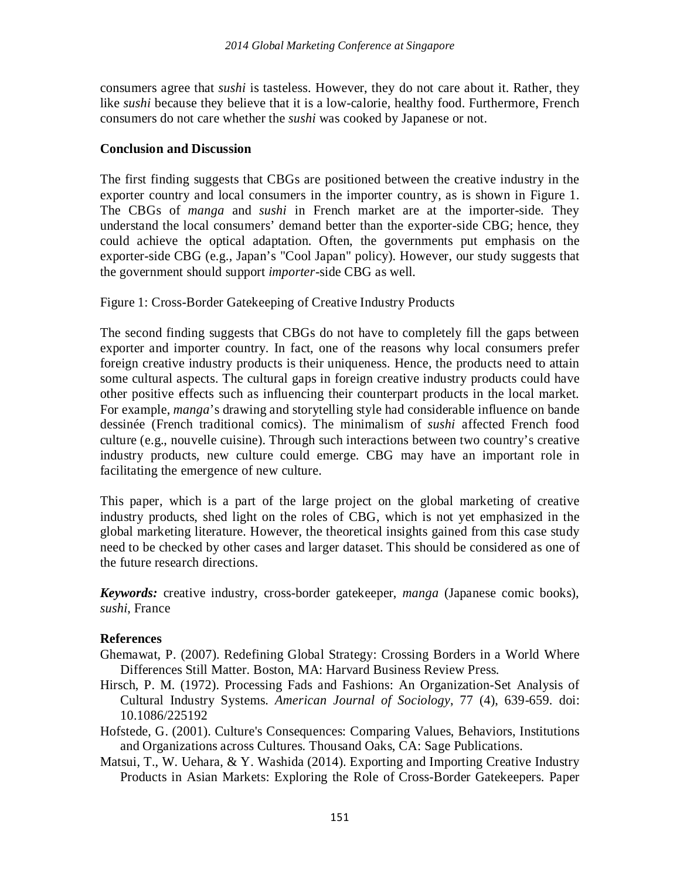consumers agree that *sushi* is tasteless. However, they do not care about it. Rather, they like *sushi* because they believe that it is a low-calorie, healthy food. Furthermore, French consumers do not care whether the *sushi* was cooked by Japanese or not.

## **Conclusion and Discussion**

The first finding suggests that CBGs are positioned between the creative industry in the exporter country and local consumers in the importer country, as is shown in Figure 1. The CBGs of *manga* and *sushi* in French market are at the importer-side. They understand the local consumers' demand better than the exporter-side CBG; hence, they could achieve the optical adaptation. Often, the governments put emphasis on the exporter-side CBG (e.g., Japan's "Cool Japan" policy). However, our study suggests that the government should support *importer*-side CBG as well.

Figure 1: Cross-Border Gatekeeping of Creative Industry Products

The second finding suggests that CBGs do not have to completely fill the gaps between exporter and importer country. In fact, one of the reasons why local consumers prefer foreign creative industry products is their uniqueness. Hence, the products need to attain some cultural aspects. The cultural gaps in foreign creative industry products could have other positive effects such as influencing their counterpart products in the local market. For example, *manga*'s drawing and storytelling style had considerable influence on bande dessinée (French traditional comics). The minimalism of *sushi* affected French food culture (e.g., nouvelle cuisine). Through such interactions between two country's creative industry products, new culture could emerge. CBG may have an important role in facilitating the emergence of new culture.

This paper, which is a part of the large project on the global marketing of creative industry products, shed light on the roles of CBG, which is not yet emphasized in the global marketing literature. However, the theoretical insights gained from this case study need to be checked by other cases and larger dataset. This should be considered as one of the future research directions.

*Keywords:* creative industry, cross-border gatekeeper, *manga* (Japanese comic books), *sushi*, France

## **References**

- Ghemawat, P. (2007). Redefining Global Strategy: Crossing Borders in a World Where Differences Still Matter. Boston, MA: Harvard Business Review Press.
- Hirsch, P. M. (1972). Processing Fads and Fashions: An Organization-Set Analysis of Cultural Industry Systems. *American Journal of Sociology*, 77 (4), 639-659. doi: 10.1086/225192
- Hofstede, G. (2001). Culture's Consequences: Comparing Values, Behaviors, Institutions and Organizations across Cultures. Thousand Oaks, CA: Sage Publications.
- Matsui, T., W. Uehara, & Y. Washida (2014). Exporting and Importing Creative Industry Products in Asian Markets: Exploring the Role of Cross-Border Gatekeepers. Paper